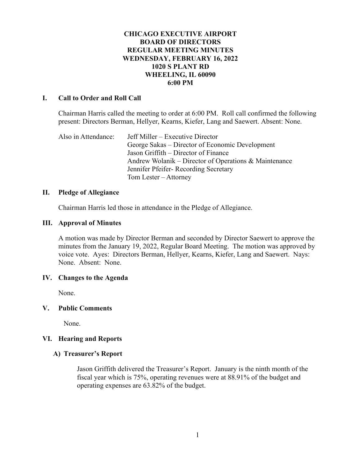## **CHICAGO EXECUTIVE AIRPORT BOARD OF DIRECTORS REGULAR MEETING MINUTES WEDNESDAY, FEBRUARY 16, 2022 1020 S PLANT RD WHEELING, IL 60090 6:00 PM**

### **I. Call to Order and Roll Call**

Chairman Harris called the meeting to order at 6:00 PM. Roll call confirmed the following present: Directors Berman, Hellyer, Kearns, Kiefer, Lang and Saewert. Absent: None.

Also in Attendance: Jeff Miller – Executive Director George Sakas – Director of Economic Development Jason Griffith – Director of Finance Andrew Wolanik – Director of Operations & Maintenance Jennifer Pfeifer- Recording Secretary Tom Lester – Attorney

#### **II. Pledge of Allegiance**

Chairman Harris led those in attendance in the Pledge of Allegiance.

#### **III. Approval of Minutes**

A motion was made by Director Berman and seconded by Director Saewert to approve the minutes from the January 19, 2022, Regular Board Meeting. The motion was approved by voice vote. Ayes: Directors Berman, Hellyer, Kearns, Kiefer, Lang and Saewert. Nays: None. Absent: None.

#### **IV. Changes to the Agenda**

None.

## **V. Public Comments**

None.

## **VI. Hearing and Reports**

## **A) Treasurer's Report**

Jason Griffith delivered the Treasurer's Report. January is the ninth month of the fiscal year which is 75%, operating revenues were at 88.91% of the budget and operating expenses are 63.82% of the budget.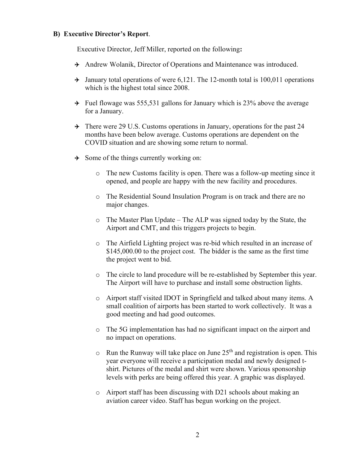### **B) Executive Director's Report**.

Executive Director, Jeff Miller, reported on the following**:**

- Andrew Wolanik, Director of Operations and Maintenance was introduced.
- $\rightarrow$  January total operations of were 6,121. The 12-month total is 100,011 operations which is the highest total since 2008.
- $\rightarrow$  Fuel flowage was 555,531 gallons for January which is 23% above the average for a January.
- $\rightarrow$  There were 29 U.S. Customs operations in January, operations for the past 24 months have been below average. Customs operations are dependent on the COVID situation and are showing some return to normal.
- $\rightarrow$  Some of the things currently working on:
	- o The new Customs facility is open. There was a follow-up meeting since it opened, and people are happy with the new facility and procedures.
	- o The Residential Sound Insulation Program is on track and there are no major changes.
	- o The Master Plan Update The ALP was signed today by the State, the Airport and CMT, and this triggers projects to begin.
	- o The Airfield Lighting project was re-bid which resulted in an increase of \$145,000.00 to the project cost. The bidder is the same as the first time the project went to bid.
	- o The circle to land procedure will be re-established by September this year. The Airport will have to purchase and install some obstruction lights.
	- o Airport staff visited IDOT in Springfield and talked about many items. A small coalition of airports has been started to work collectively. It was a good meeting and had good outcomes.
	- o The 5G implementation has had no significant impact on the airport and no impact on operations.
	- $\circ$  Run the Runway will take place on June 25<sup>th</sup> and registration is open. This year everyone will receive a participation medal and newly designed tshirt. Pictures of the medal and shirt were shown. Various sponsorship levels with perks are being offered this year. A graphic was displayed.
	- o Airport staff has been discussing with D21 schools about making an aviation career video. Staff has begun working on the project.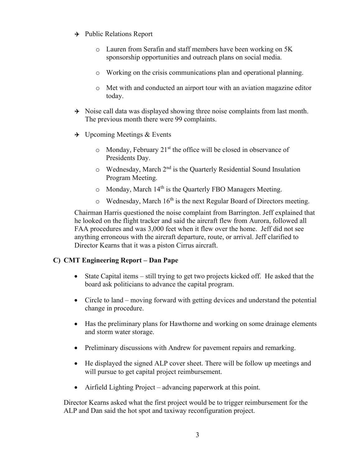- $\rightarrow$  Public Relations Report
	- o Lauren from Serafin and staff members have been working on 5K sponsorship opportunities and outreach plans on social media.
	- o Working on the crisis communications plan and operational planning.
	- o Met with and conducted an airport tour with an aviation magazine editor today.
- $\rightarrow$  Noise call data was displayed showing three noise complaints from last month. The previous month there were 99 complaints.
- $\rightarrow$  Upcoming Meetings & Events
	- $\circ$  Monday, February 21<sup>st</sup> the office will be closed in observance of Presidents Day.
	- $\circ$  Wednesday, March  $2<sup>nd</sup>$  is the Quarterly Residential Sound Insulation Program Meeting.
	- $\circ$  Monday, March 14<sup>th</sup> is the Quarterly FBO Managers Meeting.
	- $\circ$  Wednesday, March 16<sup>th</sup> is the next Regular Board of Directors meeting.

Chairman Harris questioned the noise complaint from Barrington. Jeff explained that he looked on the flight tracker and said the aircraft flew from Aurora, followed all FAA procedures and was 3,000 feet when it flew over the home. Jeff did not see anything erroneous with the aircraft departure, route, or arrival. Jeff clarified to Director Kearns that it was a piston Cirrus aircraft.

# **C) CMT Engineering Report – Dan Pape**

- State Capital items still trying to get two projects kicked off. He asked that the board ask politicians to advance the capital program.
- Circle to land moving forward with getting devices and understand the potential change in procedure.
- Has the preliminary plans for Hawthorne and working on some drainage elements and storm water storage.
- Preliminary discussions with Andrew for pavement repairs and remarking.
- He displayed the signed ALP cover sheet. There will be follow up meetings and will pursue to get capital project reimbursement.
- Airfield Lighting Project advancing paperwork at this point.

Director Kearns asked what the first project would be to trigger reimbursement for the ALP and Dan said the hot spot and taxiway reconfiguration project.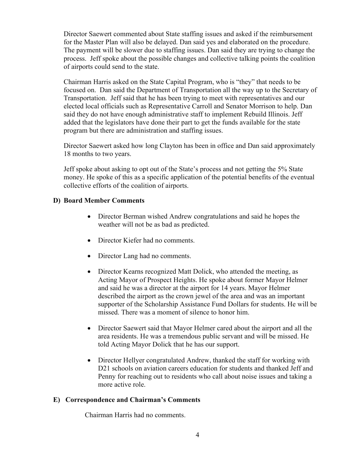Director Saewert commented about State staffing issues and asked if the reimbursement for the Master Plan will also be delayed. Dan said yes and elaborated on the procedure. The payment will be slower due to staffing issues. Dan said they are trying to change the process. Jeff spoke about the possible changes and collective talking points the coalition of airports could send to the state.

Chairman Harris asked on the State Capital Program, who is "they" that needs to be focused on. Dan said the Department of Transportation all the way up to the Secretary of Transportation. Jeff said that he has been trying to meet with representatives and our elected local officials such as Representative Carroll and Senator Morrison to help. Dan said they do not have enough administrative staff to implement Rebuild Illinois. Jeff added that the legislators have done their part to get the funds available for the state program but there are administration and staffing issues.

Director Saewert asked how long Clayton has been in office and Dan said approximately 18 months to two years.

Jeff spoke about asking to opt out of the State's process and not getting the 5% State money. He spoke of this as a specific application of the potential benefits of the eventual collective efforts of the coalition of airports.

## **D) Board Member Comments**

- Director Berman wished Andrew congratulations and said he hopes the weather will not be as bad as predicted.
- Director Kiefer had no comments.
- Director Lang had no comments.
- Director Kearns recognized Matt Dolick, who attended the meeting, as Acting Mayor of Prospect Heights. He spoke about former Mayor Helmer and said he was a director at the airport for 14 years. Mayor Helmer described the airport as the crown jewel of the area and was an important supporter of the Scholarship Assistance Fund Dollars for students. He will be missed. There was a moment of silence to honor him.
- Director Saewert said that Mayor Helmer cared about the airport and all the area residents. He was a tremendous public servant and will be missed. He told Acting Mayor Dolick that he has our support.
- Director Hellyer congratulated Andrew, thanked the staff for working with D21 schools on aviation careers education for students and thanked Jeff and Penny for reaching out to residents who call about noise issues and taking a more active role.

## **E) Correspondence and Chairman's Comments**

Chairman Harris had no comments.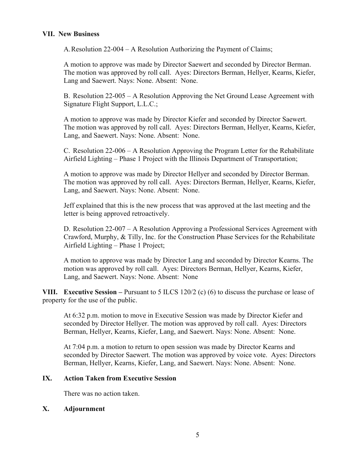## **VII. New Business**

A.Resolution 22-004 – A Resolution Authorizing the Payment of Claims;

A motion to approve was made by Director Saewert and seconded by Director Berman. The motion was approved by roll call. Ayes: Directors Berman, Hellyer, Kearns, Kiefer, Lang and Saewert. Nays: None. Absent: None.

B. Resolution 22-005 – A Resolution Approving the Net Ground Lease Agreement with Signature Flight Support, L.L.C.;

A motion to approve was made by Director Kiefer and seconded by Director Saewert. The motion was approved by roll call. Ayes: Directors Berman, Hellyer, Kearns, Kiefer, Lang, and Saewert. Nays: None. Absent: None.

C. Resolution 22-006 – A Resolution Approving the Program Letter for the Rehabilitate Airfield Lighting – Phase 1 Project with the Illinois Department of Transportation;

A motion to approve was made by Director Hellyer and seconded by Director Berman. The motion was approved by roll call. Ayes: Directors Berman, Hellyer, Kearns, Kiefer, Lang, and Saewert. Nays: None. Absent: None.

Jeff explained that this is the new process that was approved at the last meeting and the letter is being approved retroactively.

D. Resolution 22-007 – A Resolution Approving a Professional Services Agreement with Crawford, Murphy, & Tilly, Inc. for the Construction Phase Services for the Rehabilitate Airfield Lighting – Phase 1 Project;

A motion to approve was made by Director Lang and seconded by Director Kearns. The motion was approved by roll call. Ayes: Directors Berman, Hellyer, Kearns, Kiefer, Lang, and Saewert. Nays: None. Absent: None

**VIII. Executive Session** – Pursuant to 5 ILCS 120/2 (c) (6) to discuss the purchase or lease of property for the use of the public.

At 6:32 p.m. motion to move in Executive Session was made by Director Kiefer and seconded by Director Hellyer. The motion was approved by roll call. Ayes: Directors Berman, Hellyer, Kearns, Kiefer, Lang, and Saewert. Nays: None. Absent: None.

At 7:04 p.m. a motion to return to open session was made by Director Kearns and seconded by Director Saewert. The motion was approved by voice vote. Ayes: Directors Berman, Hellyer, Kearns, Kiefer, Lang, and Saewert. Nays: None. Absent: None.

## **IX. Action Taken from Executive Session**

There was no action taken.

## **X. Adjournment**